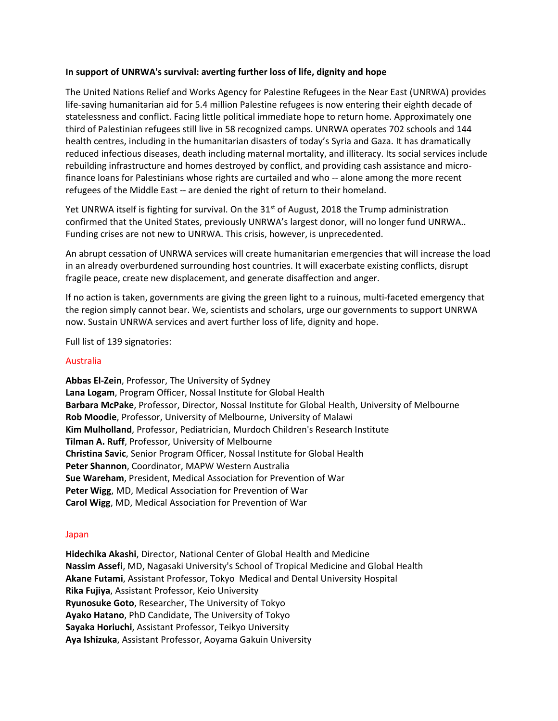# **In support of UNRWA's survival: averting further loss of life, dignity and hope**

The United Nations Relief and Works Agency for Palestine Refugees in the Near East (UNRWA) provides life-saving humanitarian aid for 5.4 million Palestine refugees is now entering their eighth decade of statelessness and conflict. Facing little political immediate hope to return home. Approximately one third of Palestinian refugees still live in 58 recognized camps. UNRWA operates 702 schools and 144 health centres, including in the humanitarian disasters of today's Syria and Gaza. It has dramatically reduced infectious diseases, death including maternal mortality, and illiteracy. Its social services include rebuilding infrastructure and homes destroyed by conflict, and providing cash assistance and microfinance loans for Palestinians whose rights are curtailed and who -- alone among the more recent refugees of the Middle East -- are denied the right of return to their homeland.

Yet UNRWA itself is fighting for survival. On the 31<sup>st</sup> of August, 2018 the Trump administration confirmed that the United States, previously UNRWA's largest donor, will no longer fund UNRWA.. Funding crises are not new to UNRWA. This crisis, however, is unprecedented.

An abrupt cessation of UNRWA services will create humanitarian emergencies that will increase the load in an already overburdened surrounding host countries. It will exacerbate existing conflicts, disrupt fragile peace, create new displacement, and generate disaffection and anger.

If no action is taken, governments are giving the green light to a ruinous, multi-faceted emergency that the region simply cannot bear. We, scientists and scholars, urge our governments to support UNRWA now. Sustain UNRWA services and avert further loss of life, dignity and hope.

Full list of 139 signatories:

## Australia

**Abbas El-Zein**, Professor, The University of Sydney **Lana Logam**, Program Officer, Nossal Institute for Global Health **Barbara McPake**, Professor, Director, Nossal Institute for Global Health, University of Melbourne **Rob Moodie**, Professor, University of Melbourne, University of Malawi **Kim Mulholland**, Professor, Pediatrician, Murdoch Children's Research Institute **Tilman A. Ruff**, Professor, University of Melbourne **Christina Savic**, Senior Program Officer, Nossal Institute for Global Health **Peter Shannon**, Coordinator, MAPW Western Australia **Sue Wareham**, President, Medical Association for Prevention of War **Peter Wigg**, MD, Medical Association for Prevention of War **Carol Wigg**, MD, Medical Association for Prevention of War

#### Japan

**Hidechika Akashi**, Director, National Center of Global Health and Medicine **Nassim Assefi**, MD, Nagasaki University's School of Tropical Medicine and Global Health **Akane Futami**, Assistant Professor, Tokyo Medical and Dental University Hospital **Rika Fujiya**, Assistant Professor, Keio University **Ryunosuke Goto**, Researcher, The University of Tokyo **Ayako Hatano**, PhD Candidate, The University of Tokyo **Sayaka Horiuchi**, Assistant Professor, Teikyo University **Aya Ishizuka**, Assistant Professor, Aoyama Gakuin University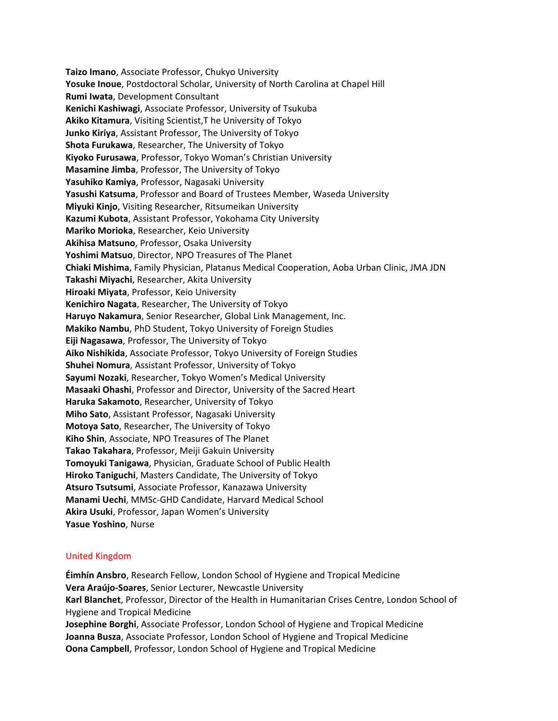**Taizo Imano**, Associate Professor, Chukyo University **Yosuke Inoue**, Postdoctoral Scholar, University of North Carolina at Chapel Hill **Rumi Iwata**, Development Consultant **Kenichi Kashiwagi**, Associate Professor, University of Tsukuba **Akiko Kitamura**, Visiting Scientist,T he University of Tokyo **Junko Kiriya**, Assistant Professor, The University of Tokyo **Shota Furukawa**, Researcher, The University of Tokyo **Kiyoko Furusawa**, Professor, Tokyo Woman's Christian University **Masamine Jimba**, Professor, The University of Tokyo **Yasuhiko Kamiya**, Professor, Nagasaki University **Yasushi Katsuma**, Professor and Board of Trustees Member, Waseda University **Miyuki Kinjo**, Visiting Researcher, Ritsumeikan University **Kazumi Kubota**, Assistant Professor, Yokohama City University **Mariko Morioka**, Researcher, Keio University **Akihisa Matsuno**, Professor, Osaka University **Yoshimi Matsuo**, Director, NPO Treasures of The Planet **Chiaki Mishima**, Family Physician, Platanus Medical Cooperation, Aoba Urban Clinic, JMA JDN **Takashi Miyachi**, Researcher, Akita University **Hiroaki Miyata**, Professor, Keio University **Kenichiro Nagata**, Researcher, The University of Tokyo **Haruyo Nakamura**, Senior Researcher, Global Link Management, Inc. **Makiko Nambu**, PhD Student, Tokyo University of Foreign Studies **Eiji Nagasawa**, Professor, The University of Tokyo **Aiko Nishikida**, Associate Professor, Tokyo University of Foreign Studies **Shuhei Nomura**, Assistant Professor, University of Tokyo **Sayumi Nozaki**, Researcher, Tokyo Women's Medical University **Masaaki Ohashi**, Professor and Director, University of the Sacred Heart **Haruka Sakamoto**, Researcher, University of Tokyo **Miho Sato**, Assistant Professor, Nagasaki University **Motoya Sato**, Researcher, The University of Tokyo **Kiho Shin**, Associate, NPO Treasures of The Planet **Takao Takahara**, Professor, Meiji Gakuin University **Tomoyuki Tanigawa**, Physician, Graduate School of Public Health **Hiroko Taniguchi**, Masters Candidate, The University of Tokyo **Atsuro Tsutsumi**, Associate Professor, Kanazawa University **Manami Uechi**, MMSc-GHD Candidate, Harvard Medical School **Akira Usuki**, Professor, Japan Women's University **Yasue Yoshino**, Nurse

#### United Kingdom

**Éimhín Ansbro**, Research Fellow, London School of Hygiene and Tropical Medicine **Vera Araújo-Soares**, Senior Lecturer, Newcastle University **Karl Blanchet**, Professor, Director of the Health in Humanitarian Crises Centre, London School of Hygiene and Tropical Medicine **Josephine Borghi**, Associate Professor, London School of Hygiene and Tropical Medicine **Joanna Busza**, Associate Professor, London School of Hygiene and Tropical Medicine **Oona Campbell**, Professor, London School of Hygiene and Tropical Medicine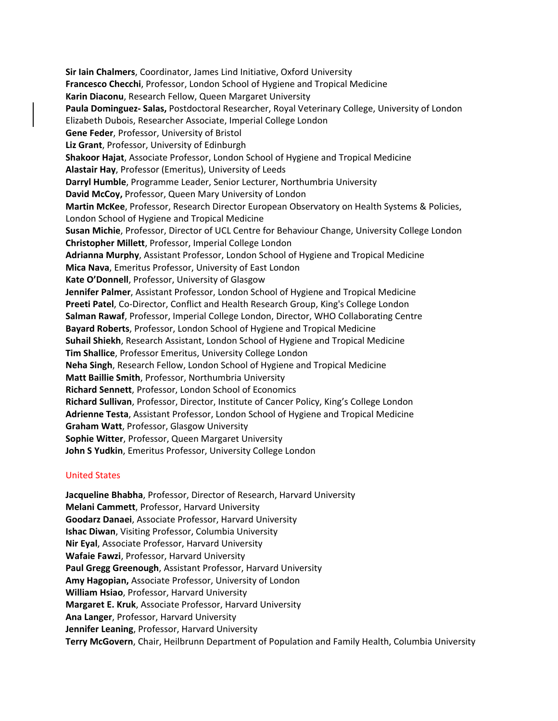**Sir Iain Chalmers**, Coordinator, James Lind Initiative, Oxford University **Francesco Checchi**, Professor, London School of Hygiene and Tropical Medicine **Karin Diaconu**, Research Fellow, Queen Margaret University **Paula Dominguez- Salas,** Postdoctoral Researcher, Royal Veterinary College, University of London Elizabeth Dubois, Researcher Associate, Imperial College London **Gene Feder**, Professor, University of Bristol **Liz Grant**, Professor, University of Edinburgh **Shakoor Hajat**, Associate Professor, London School of Hygiene and Tropical Medicine **Alastair Hay**, Professor (Emeritus), University of Leeds **Darryl Humble**, Programme Leader, Senior Lecturer, Northumbria University **David McCoy,** Professor, Queen Mary University of London **Martin McKee**, Professor, Research Director European Observatory on Health Systems & Policies, London School of Hygiene and Tropical Medicine **Susan Michie**, Professor, Director of UCL Centre for Behaviour Change, University College London **Christopher Millett**, Professor, Imperial College London **Adrianna Murphy**, Assistant Professor, London School of Hygiene and Tropical Medicine **Mica Nava**, Emeritus Professor, University of East London **Kate O'Donnell**, Professor, University of Glasgow **Jennifer Palmer**, Assistant Professor, London School of Hygiene and Tropical Medicine **Preeti Patel**, Co-Director, Conflict and Health Research Group, King's College London **Salman Rawaf**, Professor, Imperial College London, Director, WHO Collaborating Centre **Bayard Roberts**, Professor, London School of Hygiene and Tropical Medicine **Suhail Shiekh**, Research Assistant, London School of Hygiene and Tropical Medicine **Tim Shallice**, Professor Emeritus, University College London **Neha Singh**, Research Fellow, London School of Hygiene and Tropical Medicine **Matt Baillie Smith**, Professor, Northumbria University **Richard Sennett**, Professor, London School of Economics **Richard Sullivan**, Professor, Director, Institute of Cancer Policy, King's College London **Adrienne Testa**, Assistant Professor, London School of Hygiene and Tropical Medicine **Graham Watt**, Professor, Glasgow University **Sophie Witter**, Professor, Queen Margaret University **John S Yudkin**, Emeritus Professor, University College London

# United States

**Jacqueline Bhabha**, Professor, Director of Research, Harvard University **Melani Cammett**, Professor, Harvard University **Goodarz Danaei**, Associate Professor, Harvard University **Ishac Diwan**, Visiting Professor, Columbia University **Nir Eyal**, Associate Professor, Harvard University **Wafaie Fawzi**, Professor, Harvard University **Paul Gregg Greenough**, Assistant Professor, Harvard University **Amy Hagopian,** Associate Professor, University of London **William Hsiao**, Professor, Harvard University **Margaret E. Kruk**, Associate Professor, Harvard University **Ana Langer**, Professor, Harvard University **Jennifer Leaning**, Professor, Harvard University **Terry McGovern**, Chair, Heilbrunn Department of Population and Family Health, Columbia University